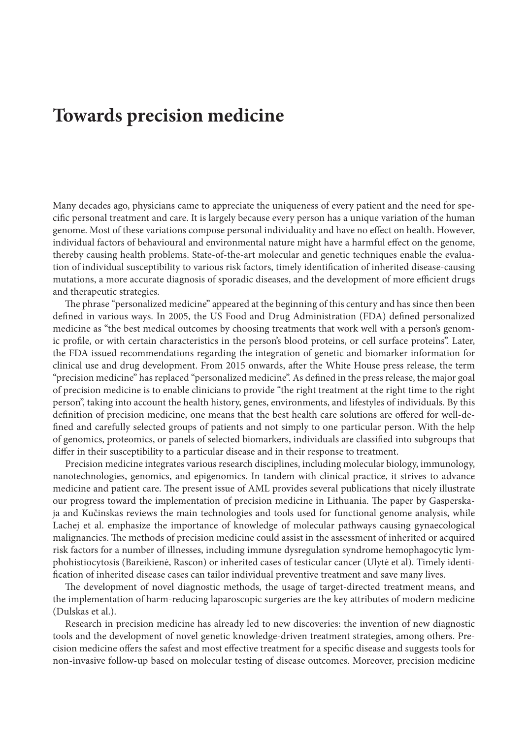## **Towards precision medicine**

Many decades ago, physicians came to appreciate the uniqueness of every patient and the need for specific personal treatment and care. It is largely because every person has a unique variation of the human genome. Most of these variations compose personal individuality and have no effect on health. However, individual factors of behavioural and environmental nature might have a harmful effect on the genome, thereby causing health problems. State-of-the-art molecular and genetic techniques enable the evaluation of individual susceptibility to various risk factors, timely identification of inherited disease-causing mutations, a more accurate diagnosis of sporadic diseases, and the development of more efficient drugs and therapeutic strategies.

The phrase "personalized medicine" appeared at the beginning of this century and has since then been defined in various ways. In 2005, the US Food and Drug Administration (FDA) defined personalized medicine as "the best medical outcomes by choosing treatments that work well with a person's genomic profile, or with certain characteristics in the person's blood proteins, or cell surface proteins". Later, the FDA issued recommendations regarding the integration of genetic and biomarker information for clinical use and drug development. From 2015 onwards, after the White House press release, the term "precision medicine" has replaced "personalized medicine". As defined in the press release, the major goal of precision medicine is to enable clinicians to provide "the right treatment at the right time to the right person", taking into account the health history, genes, environments, and lifestyles of individuals. By this definition of precision medicine, one means that the best health care solutions are offered for well-defined and carefully selected groups of patients and not simply to one particular person. With the help of genomics, proteomics, or panels of selected biomarkers, individuals are classified into subgroups that differ in their susceptibility to a particular disease and in their response to treatment.

Precision medicine integrates various research disciplines, including molecular biology, immunology, nanotechnologies, genomics, and epigenomics. In tandem with clinical practice, it strives to advance medicine and patient care. The present issue of AML provides several publications that nicely illustrate our progress toward the implementation of precision medicine in Lithuania. The paper by Gasperskaja and Kučinskas reviews the main technologies and tools used for functional genome analysis, while Lachej et al. emphasize the importance of knowledge of molecular pathways causing gynaecological malignancies. The methods of precision medicine could assist in the assessment of inherited or acquired risk factors for a number of illnesses, including immune dysregulation syndrome hemophagocytic lymphohistiocytosis (Bareikienė, Rascon) or inherited cases of testicular cancer (Ulytė et al). Timely identification of inherited disease cases can tailor individual preventive treatment and save many lives.

The development of novel diagnostic methods, the usage of target-directed treatment means, and the implementation of harm-reducing laparoscopic surgeries are the key attributes of modern medicine (Dulskas et al.).

Research in precision medicine has already led to new discoveries: the invention of new diagnostic tools and the development of novel genetic knowledge-driven treatment strategies, among others. Precision medicine offers the safest and most effective treatment for a specific disease and suggests tools for non-invasive follow-up based on molecular testing of disease outcomes. Moreover, precision medicine